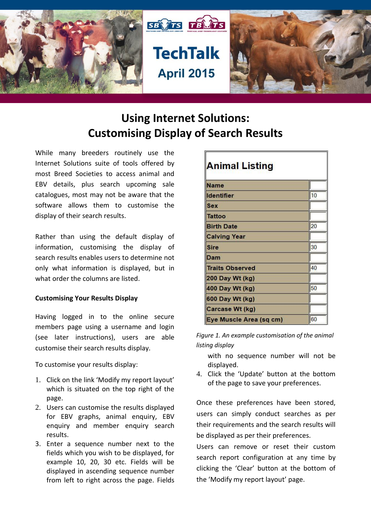

# **Using Internet Solutions: Customising Display of Search Results**

While many breeders routinely use the Internet Solutions suite of tools offered by most Breed Societies to access animal and EBV details, plus search upcoming sale catalogues, most may not be aware that the software allows them to customise the display of their search results.

Rather than using the default display of information, customising the display of search results enables users to determine not only what information is displayed, but in what order the columns are listed.

## **Customising Your Results Display**

Having logged in to the online secure members page using a username and login (see later instructions), users are able customise their search results display.

To customise your results display:

- 1. Click on the link 'Modify my report layout' which is situated on the top right of the page.
- 2. Users can customise the results displayed for EBV graphs, animal enquiry, EBV enquiry and member enquiry search results.
- 3. Enter a sequence number next to the fields which you wish to be displayed, for example 10, 20, 30 etc. Fields will be displayed in ascending sequence number from left to right across the page. Fields

| <b>Animal Listing</b>   |    |  |  |  |
|-------------------------|----|--|--|--|
| <b>Name</b>             |    |  |  |  |
| ldentifier              | 10 |  |  |  |
| <b>Sex</b>              |    |  |  |  |
| Tattoo                  |    |  |  |  |
| <b>Birth Date</b>       | 20 |  |  |  |
| <b>Calving Year</b>     |    |  |  |  |
| <b>Sire</b>             | 30 |  |  |  |
| Dam                     |    |  |  |  |
| <b>Traits Observed</b>  | 40 |  |  |  |
| 200 Day Wt (kg)         |    |  |  |  |
| 400 Day Wt (kg)         | 50 |  |  |  |
| 600 Day Wt (kg)         |    |  |  |  |
| Carcase Wt (kg)         |    |  |  |  |
| Eye Muscle Area (sq cm) | 60 |  |  |  |

*Figure 1. An example customisation of the animal listing display*

with no sequence number will not be displayed.

4. Click the 'Update' button at the bottom of the page to save your preferences.

Once these preferences have been stored, users can simply conduct searches as per their requirements and the search results will be displayed as per their preferences.

Users can remove or reset their custom search report configuration at any time by clicking the 'Clear' button at the bottom of the 'Modify my report layout' page.